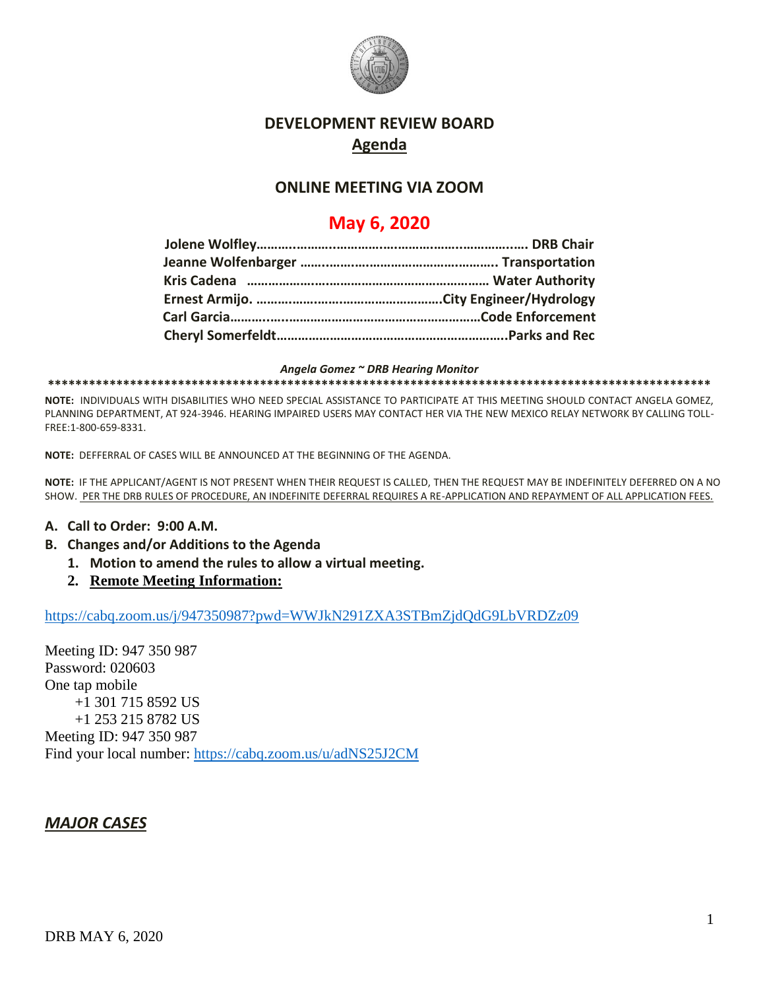

### **DEVELOPMENT REVIEW BOARD Agenda**

### **ONLINE MEETING VIA ZOOM**

# **May 6, 2020**

*Angela Gomez ~ DRB Hearing Monitor* **\*\*\*\*\*\*\*\*\*\*\*\*\*\*\*\*\*\*\*\*\*\*\*\*\*\*\*\*\*\*\*\*\*\*\*\*\*\*\*\*\*\*\*\*\*\*\*\*\*\*\*\*\*\*\*\*\*\*\*\*\*\*\*\*\*\*\*\*\*\*\*\*\*\*\*\*\*\*\*\*\*\*\*\*\*\*\*\*\*\*\*\*\*\*\*\*\***

**NOTE:** INDIVIDUALS WITH DISABILITIES WHO NEED SPECIAL ASSISTANCE TO PARTICIPATE AT THIS MEETING SHOULD CONTACT ANGELA GOMEZ, PLANNING DEPARTMENT, AT 924-3946. HEARING IMPAIRED USERS MAY CONTACT HER VIA THE NEW MEXICO RELAY NETWORK BY CALLING TOLL-FREE:1-800-659-8331.

**NOTE:** DEFFERRAL OF CASES WILL BE ANNOUNCED AT THE BEGINNING OF THE AGENDA.

**NOTE:** IF THE APPLICANT/AGENT IS NOT PRESENT WHEN THEIR REQUEST IS CALLED, THEN THE REQUEST MAY BE INDEFINITELY DEFERRED ON A NO SHOW. PER THE DRB RULES OF PROCEDURE, AN INDEFINITE DEFERRAL REQUIRES A RE-APPLICATION AND REPAYMENT OF ALL APPLICATION FEES.

#### **A. Call to Order: 9:00 A.M.**

- **B. Changes and/or Additions to the Agenda**
	- **1. Motion to amend the rules to allow a virtual meeting.**
	- **2. Remote Meeting Information:**

<https://cabq.zoom.us/j/947350987?pwd=WWJkN291ZXA3STBmZjdQdG9LbVRDZz09>

Meeting ID: 947 350 987 Password: 020603 One tap mobile +1 301 715 8592 US +1 253 215 8782 US Meeting ID: 947 350 987 Find your local number:<https://cabq.zoom.us/u/adNS25J2CM>

#### *MAJOR CASES*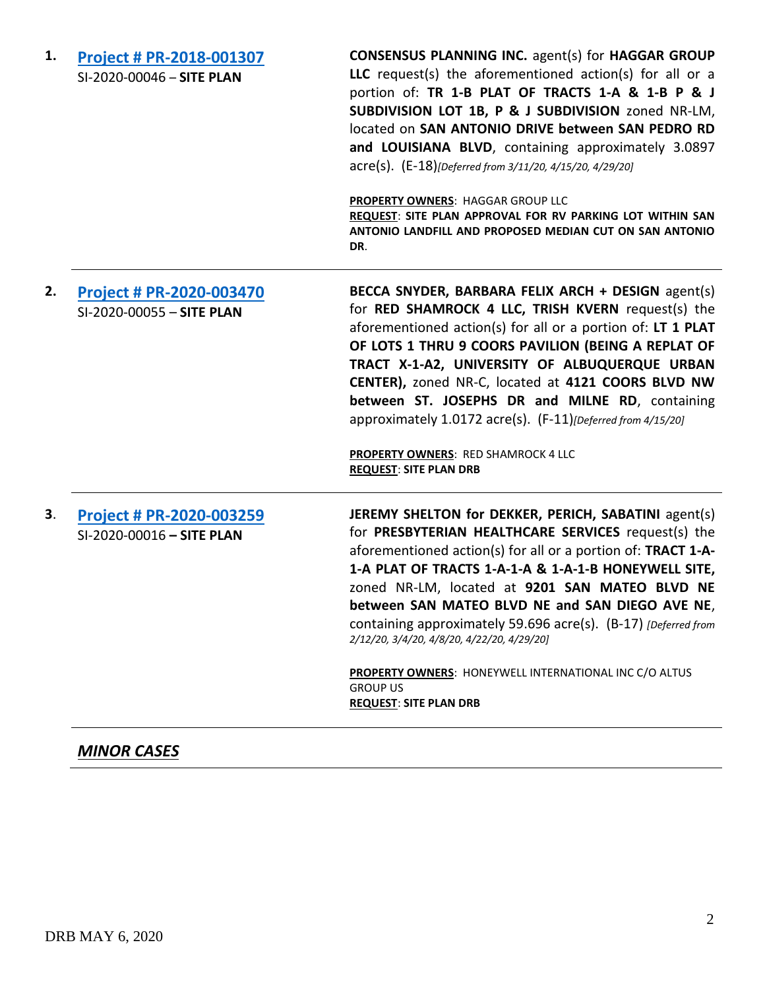| 1. | Project # PR-2018-001307<br>SI-2020-00046 - SITE PLAN        | <b>CONSENSUS PLANNING INC. agent(s) for HAGGAR GROUP</b><br>LLC request(s) the aforementioned action(s) for all or a<br>portion of: TR 1-B PLAT OF TRACTS 1-A & 1-B P & J<br>SUBDIVISION LOT 1B, P & J SUBDIVISION zoned NR-LM,<br>located on SAN ANTONIO DRIVE between SAN PEDRO RD<br>and LOUISIANA BLVD, containing approximately 3.0897<br>acre(s). (E-18)[Deferred from 3/11/20, 4/15/20, 4/29/20]<br>PROPERTY OWNERS: HAGGAR GROUP LLC<br>REQUEST: SITE PLAN APPROVAL FOR RV PARKING LOT WITHIN SAN<br>ANTONIO LANDFILL AND PROPOSED MEDIAN CUT ON SAN ANTONIO<br>DR.   |
|----|--------------------------------------------------------------|-------------------------------------------------------------------------------------------------------------------------------------------------------------------------------------------------------------------------------------------------------------------------------------------------------------------------------------------------------------------------------------------------------------------------------------------------------------------------------------------------------------------------------------------------------------------------------|
| 2. | <b>Project # PR-2020-003470</b><br>SI-2020-00055 - SITE PLAN | BECCA SNYDER, BARBARA FELIX ARCH + DESIGN agent(s)<br>for RED SHAMROCK 4 LLC, TRISH KVERN request(s) the<br>aforementioned action(s) for all or a portion of: LT 1 PLAT<br>OF LOTS 1 THRU 9 COORS PAVILION (BEING A REPLAT OF<br>TRACT X-1-A2, UNIVERSITY OF ALBUQUERQUE URBAN<br>CENTER), zoned NR-C, located at 4121 COORS BLVD NW<br>between ST. JOSEPHS DR and MILNE RD, containing<br>approximately 1.0172 acre(s). (F-11)[Deferred from 4/15/20]<br>PROPERTY OWNERS: RED SHAMROCK 4 LLC<br><b>REQUEST: SITE PLAN DRB</b>                                                |
| 3. | <b>Project # PR-2020-003259</b><br>SI-2020-00016 - SITE PLAN | JEREMY SHELTON for DEKKER, PERICH, SABATINI agent(s)<br>for PRESBYTERIAN HEALTHCARE SERVICES request(s) the<br>aforementioned action(s) for all or a portion of: TRACT 1-A-<br>1-A PLAT OF TRACTS 1-A-1-A & 1-A-1-B HONEYWELL SITE,<br>zoned NR-LM, located at 9201 SAN MATEO BLVD NE<br>between SAN MATEO BLVD NE and SAN DIEGO AVE NE,<br>containing approximately 59.696 acre(s). (B-17) [Deferred from<br>2/12/20, 3/4/20, 4/8/20, 4/22/20, 4/29/20]<br><b>PROPERTY OWNERS: HONEYWELL INTERNATIONAL INC C/O ALTUS</b><br><b>GROUP US</b><br><b>REQUEST: SITE PLAN DRB</b> |

# *MINOR CASES*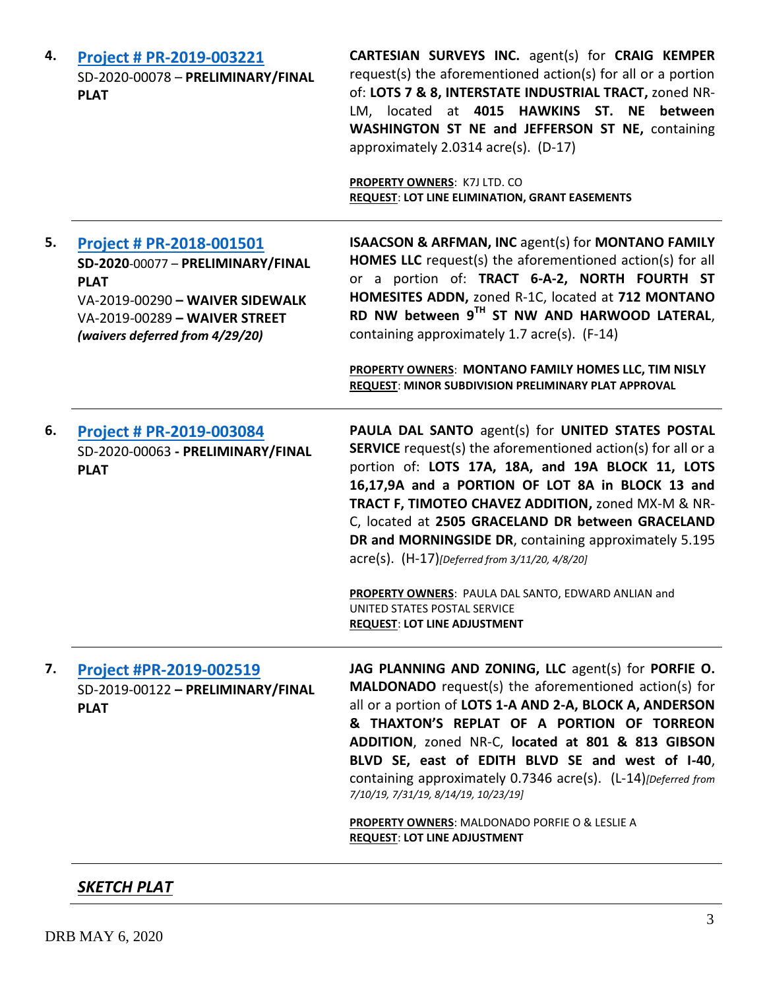| 4. | Project # PR-2019-003221<br>SD-2020-00078 - PRELIMINARY/FINAL<br><b>PLAT</b>                                                                                                        | CARTESIAN SURVEYS INC. agent(s) for CRAIG KEMPER<br>request(s) the aforementioned action(s) for all or a portion<br>of: LOTS 7 & 8, INTERSTATE INDUSTRIAL TRACT, zoned NR-<br>LM, located at 4015 HAWKINS ST. NE between<br>WASHINGTON ST NE and JEFFERSON ST NE, containing<br>approximately 2.0314 acre(s). (D-17)<br><b>PROPERTY OWNERS: K7J LTD. CO</b><br><b>REQUEST: LOT LINE ELIMINATION, GRANT EASEMENTS</b>                                                                                                                                                                  |
|----|-------------------------------------------------------------------------------------------------------------------------------------------------------------------------------------|---------------------------------------------------------------------------------------------------------------------------------------------------------------------------------------------------------------------------------------------------------------------------------------------------------------------------------------------------------------------------------------------------------------------------------------------------------------------------------------------------------------------------------------------------------------------------------------|
| 5. | Project # PR-2018-001501<br>SD-2020-00077 - PRELIMINARY/FINAL<br><b>PLAT</b><br>VA-2019-00290 - WAIVER SIDEWALK<br>VA-2019-00289 - WAIVER STREET<br>(waivers deferred from 4/29/20) | <b>ISAACSON &amp; ARFMAN, INC agent(s) for MONTANO FAMILY</b><br><b>HOMES LLC</b> request(s) the aforementioned action(s) for all<br>or a portion of: TRACT 6-A-2, NORTH FOURTH ST<br>HOMESITES ADDN, zoned R-1C, located at 712 MONTANO<br>RD NW between 9TH ST NW AND HARWOOD LATERAL,<br>containing approximately 1.7 acre(s). (F-14)<br>PROPERTY OWNERS: MONTANO FAMILY HOMES LLC, TIM NISLY<br>REQUEST: MINOR SUBDIVISION PRELIMINARY PLAT APPROVAL                                                                                                                              |
| 6. | Project # PR-2019-003084<br>SD-2020-00063 - PRELIMINARY/FINAL<br><b>PLAT</b>                                                                                                        | PAULA DAL SANTO agent(s) for UNITED STATES POSTAL<br><b>SERVICE</b> request(s) the aforementioned action(s) for all or a<br>portion of: LOTS 17A, 18A, and 19A BLOCK 11, LOTS<br>16,17,9A and a PORTION OF LOT 8A in BLOCK 13 and<br>TRACT F, TIMOTEO CHAVEZ ADDITION, zoned MX-M & NR-<br>C, located at 2505 GRACELAND DR between GRACELAND<br>DR and MORNINGSIDE DR, containing approximately 5.195<br>acre(s). (H-17)[Deferred from 3/11/20, 4/8/20]<br>PROPERTY OWNERS: PAULA DAL SANTO, EDWARD ANLIAN and<br>UNITED STATES POSTAL SERVICE<br><b>REQUEST: LOT LINE ADJUSTMENT</b> |
| 7. | Project #PR-2019-002519<br>$SD-2019-00122 - PRELIMINARY/FINAL$<br><b>PLAT</b>                                                                                                       | JAG PLANNING AND ZONING, LLC agent(s) for PORFIE O.<br><b>MALDONADO</b> request(s) the aforementioned action(s) for<br>all or a portion of LOTS 1-A AND 2-A, BLOCK A, ANDERSON<br>& THAXTON'S REPLAT OF A PORTION OF TORREON<br>ADDITION, zoned NR-C, located at 801 & 813 GIBSON<br>BLVD SE, east of EDITH BLVD SE and west of I-40,<br>containing approximately 0.7346 acre(s). (L-14)[Deferred from<br>7/10/19, 7/31/19, 8/14/19, 10/23/19]<br>PROPERTY OWNERS: MALDONADO PORFIE O & LESLIE A<br><b>REQUEST: LOT LINE ADJUSTMENT</b>                                               |

### *SKETCH PLAT*